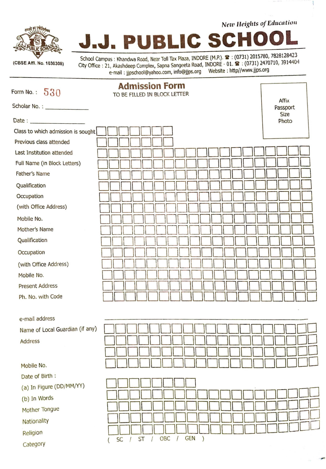

 $New$  *Heights of Education* 

School Campus : Khandwa Road, Near Toll Tax Plaza, INDORE (M.P.). **2** : (0731) 2015780, 7828128423 City Office : 21, Akashdeep Complex, Sapna Sangeeta Road, INDORE - 01. **W** : (0731) 2470710, 3914404 e-mail : jjpschool@yahoo.com, info@jjps.org Website : http//www.jjps.org

**PUBLIC SCHO** 

| Form No.: $530$                    | <b>Admission Form</b><br>TO BE FILLED IN BLOCK LETTER                                                                                                                                                                                       |                      |
|------------------------------------|---------------------------------------------------------------------------------------------------------------------------------------------------------------------------------------------------------------------------------------------|----------------------|
|                                    |                                                                                                                                                                                                                                             | Affix<br>Passport    |
|                                    |                                                                                                                                                                                                                                             | <b>Size</b><br>Photo |
| Class to which admission is sought |                                                                                                                                                                                                                                             |                      |
| Previous class attended            |                                                                                                                                                                                                                                             |                      |
| Last Institution attended          |                                                                                                                                                                                                                                             |                      |
| Full Name (in Block Letters)       |                                                                                                                                                                                                                                             |                      |
| <b>Father's Name</b>               |                                                                                                                                                                                                                                             |                      |
| Qualification                      |                                                                                                                                                                                                                                             |                      |
| Occupation                         |                                                                                                                                                                                                                                             |                      |
| (with Office Address)              |                                                                                                                                                                                                                                             |                      |
| Mobile No.                         |                                                                                                                                                                                                                                             |                      |
| Mother's Name                      |                                                                                                                                                                                                                                             |                      |
| Qualification                      |                                                                                                                                                                                                                                             |                      |
| Occupation                         |                                                                                                                                                                                                                                             |                      |
| (with Office Address)              |                                                                                                                                                                                                                                             |                      |
| Mobile No.                         |                                                                                                                                                                                                                                             |                      |
| <b>Present Address</b>             |                                                                                                                                                                                                                                             |                      |
| Ph. No. with Code                  |                                                                                                                                                                                                                                             |                      |
| e-mail address                     |                                                                                                                                                                                                                                             |                      |
| Name of Local Guardian (if any)    | <u>the distribution of the state of the state of the state of the state of the state of the state of the state of the state of the state of the state of the state of the state of the state of the state of the state of the st</u><br>n m |                      |
| <b>Address</b>                     |                                                                                                                                                                                                                                             |                      |
|                                    |                                                                                                                                                                                                                                             |                      |
| Mobile No.                         |                                                                                                                                                                                                                                             |                      |
| Date of Birth:                     |                                                                                                                                                                                                                                             |                      |
| (a) In Figure (DD/MM/YY)           |                                                                                                                                                                                                                                             |                      |
| (b) In Words                       |                                                                                                                                                                                                                                             |                      |
| Mother Tongue                      |                                                                                                                                                                                                                                             |                      |
| Nationality                        |                                                                                                                                                                                                                                             |                      |
|                                    |                                                                                                                                                                                                                                             |                      |
| Religion                           | <b>GEN</b><br>OBC<br>$\overline{\phantom{0}}$<br><b>ST</b><br><b>SC</b>                                                                                                                                                                     |                      |
| Category                           |                                                                                                                                                                                                                                             |                      |